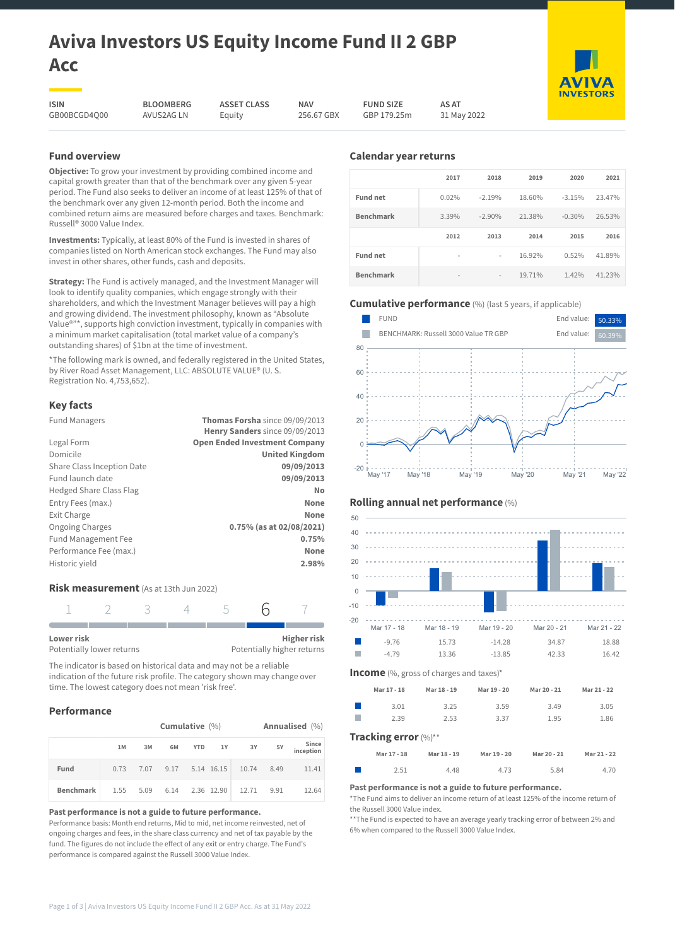# **Aviva Investors US Equity Income Fund II 2 GBP Acc**

**ASSET CLASS** Equity

**ISIN** GB00BCGD4Q00

**BLOOMBERG** AVUS2AG LN

**NAV** 256.67 GBX **FUND SIZE** GBP 179.25m

**AS AT** 31 May 2022

# **Fund overview**

**Objective:** To grow your investment by providing combined income and capital growth greater than that of the benchmark over any given 5-year period. The Fund also seeks to deliver an income of at least 125% of that of the benchmark over any given 12-month period. Both the income and combined return aims are measured before charges and taxes. Benchmark: Russell® 3000 Value Index.

**Investments:** Typically, at least 80% of the Fund is invested in shares of companies listed on North American stock exchanges. The Fund may also invest in other shares, other funds, cash and deposits.

**Strategy:** The Fund is actively managed, and the Investment Manager will look to identify quality companies, which engage strongly with their shareholders, and which the Investment Manager believes will pay a high and growing dividend. The investment philosophy, known as "Absolute Value®"\*, supports high conviction investment, typically in companies with a minimum market capitalisation (total market value of a company's outstanding shares) of \$1bn at the time of investment.

\*The following mark is owned, and federally registered in the United States, by River Road Asset Management, LLC: ABSOLUTE VALUE® (U. S. Registration No. 4,753,652).

# **Key facts**

| <b>Fund Managers</b>           | Thomas Forsha since 09/09/2013       |
|--------------------------------|--------------------------------------|
|                                | Henry Sanders since 09/09/2013       |
| Legal Form                     | <b>Open Ended Investment Company</b> |
| Domicile                       | <b>United Kingdom</b>                |
| Share Class Inception Date     | 09/09/2013                           |
| Fund launch date               | 09/09/2013                           |
| <b>Hedged Share Class Flag</b> | No                                   |
| Entry Fees (max.)              | None                                 |
| Exit Charge                    | None                                 |
| <b>Ongoing Charges</b>         | 0.75% (as at 02/08/2021)             |
| <b>Fund Management Fee</b>     | 0.75%                                |
| Performance Fee (max.)         | <b>None</b>                          |
| Historic yield                 | 2.98%                                |
|                                |                                      |

# **Risk measurement** (As at 13th Jun 2022)



The indicator is based on historical data and may not be a reliable indication of the future risk profile. The category shown may change over time. The lowest category does not mean 'risk free'.

# **Performance**

|                  |      | Cumulative $(\%)$ |    |  |  |                                      |    | Annualised (%)     |
|------------------|------|-------------------|----|--|--|--------------------------------------|----|--------------------|
|                  | 1M   | 3M                | 6M |  |  | YTD 1Y 3Y                            | 5Y | Since<br>inception |
| Fund             | 0.73 |                   |    |  |  | 7.07 9.17 5.14 16.15 10.74 8.49      |    | 11.41              |
| <b>Benchmark</b> |      |                   |    |  |  | 1.55 5.09 6.14 2.36 12.90 12.71 9.91 |    | 12.64              |

**Past performance is not a guide to future performance.**

Performance basis: Month end returns, Mid to mid, net income reinvested, net of ongoing charges and fees, in the share class currency and net of tax payable by the fund. The figures do not include the effect of any exit or entry charge. The Fund's performance is compared against the Russell 3000 Value Index.

# **Calendar year returns**

|                  | 2017                     | 2018           | 2019   | 2020     | 2021   |
|------------------|--------------------------|----------------|--------|----------|--------|
| <b>Fund net</b>  | 0.02%                    | $-2.19%$       | 18.60% | $-3.15%$ | 23.47% |
| <b>Benchmark</b> | 3.39%                    | $-2.90%$       | 21.38% | $-0.30%$ | 26.53% |
|                  |                          |                |        |          |        |
|                  | 2012                     | 2013           | 2014   | 2015     | 2016   |
| <b>Fund net</b>  | $\overline{\phantom{a}}$ | $\overline{a}$ | 16.92% | 0.52%    | 41.89% |

# **Cumulative performance** (%) (last 5 years, if applicable)





| 50          |                      |                                                |             |             |             |
|-------------|----------------------|------------------------------------------------|-------------|-------------|-------------|
| 40          |                      |                                                |             |             |             |
| 30          |                      | .                                              |             |             |             |
| 20          |                      |                                                |             |             |             |
| 10          |                      |                                                |             |             |             |
| $\mathbf 0$ |                      |                                                |             |             |             |
| $-10$       |                      |                                                |             |             |             |
| $-20$       |                      |                                                |             |             |             |
|             | Mar 17 - 18          | Mar 18 - 19                                    | Mar 19 - 20 | Mar 20 - 21 | Mar 21 - 22 |
|             | $-9.76$              | 15.73                                          | $-14.28$    | 34.87       | 18.88       |
|             | $-4.79$              | 13.36                                          | $-13.85$    | 42.33       | 16.42       |
|             |                      | <b>Income</b> (%, gross of charges and taxes)* |             |             |             |
|             | Mar 17 - 18          | Mar 18 - 19                                    | Mar 19 - 20 | Mar 20 - 21 | Mar 21 - 22 |
|             | 3.01                 | 3.25                                           | 3.59        | 3.49        | 3.05        |
|             | 2.39                 | 2.53                                           | 3.37        | 1.95        | 1.86        |
|             | Tracking error (%)** |                                                |             |             |             |
|             | Mar 17 - 18          | Mar 18 - 19                                    | Mar 19 - 20 | Mar 20 - 21 | Mar 21 - 22 |
|             | 2.51                 | 4.48                                           | 4.73        | 5.84        | 4.70        |
|             |                      |                                                |             |             |             |

#### **Past performance is not a guide to future performance.**

\*The Fund aims to deliver an income return of at least 125% of the income return of the Russell 3000 Value index.

\*\*The Fund is expected to have an average yearly tracking error of between 2% and 6% when compared to the Russell 3000 Value Index.



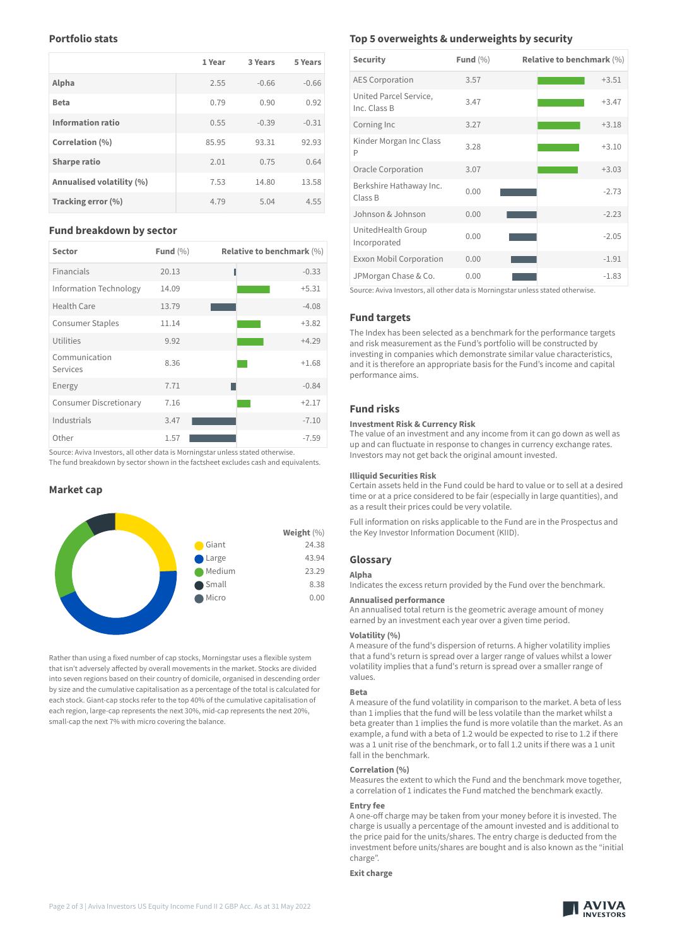# **Portfolio stats**

|                           | 1 Year | 3 Years | 5 Years |
|---------------------------|--------|---------|---------|
| Alpha                     | 2.55   | $-0.66$ | $-0.66$ |
| <b>Beta</b>               | 0.79   | 0.90    | 0.92    |
| <b>Information ratio</b>  | 0.55   | $-0.39$ | $-0.31$ |
| Correlation (%)           | 85.95  | 93.31   | 92.93   |
| <b>Sharpe ratio</b>       | 2.01   | 0.75    | 0.64    |
| Annualised volatility (%) | 7.53   | 14.80   | 13.58   |
| Tracking error (%)        | 4.79   | 5.04    | 4.55    |

## **Fund breakdown by sector**

| <b>Sector</b>                 | Fund $(\% )$ | <b>Relative to benchmark (%)</b> |
|-------------------------------|--------------|----------------------------------|
| Financials                    | 20.13        | $-0.33$                          |
| Information Technology        | 14.09        | $+5.31$                          |
| <b>Health Care</b>            | 13.79        | $-4.08$                          |
| <b>Consumer Staples</b>       | 11.14        | $+3.82$                          |
| Utilities                     | 9.92         | $+4.29$                          |
| Communication<br>Services     | 8.36         | $+1.68$                          |
| Energy                        | 7.71         | $-0.84$                          |
| <b>Consumer Discretionary</b> | 7.16         | $+2.17$                          |
| Industrials                   | 3.47         | $-7.10$                          |
| Other                         | 1.57         | $-7.59$                          |

Source: Aviva Investors, all other data is Morningstar unless stated otherwise. The fund breakdown by sector shown in the factsheet excludes cash and equivalents.

## **Market cap**



Rather than using a fixed number of cap stocks, Morningstar uses a flexible system that isn't adversely affected by overall movements in the market. Stocks are divided into seven regions based on their country of domicile, organised in descending order by size and the cumulative capitalisation as a percentage of the total is calculated for each stock. Giant-cap stocks refer to the top 40% of the cumulative capitalisation of each region, large-cap represents the next 30%, mid-cap represents the next 20%, small-cap the next 7% with micro covering the balance.

# **Top 5 overweights & underweights by security**

| <b>Security</b>                        | Fund $(\%)$ | Relative to benchmark $(\%)$ |
|----------------------------------------|-------------|------------------------------|
| <b>AES Corporation</b>                 | 3.57        | $+3.51$                      |
| United Parcel Service,<br>Inc. Class B | 3.47        | $+3.47$                      |
| Corning Inc                            | 3.27        | $+3.18$                      |
| Kinder Morgan Inc Class<br>P           | 3.28        | $+3.10$                      |
| Oracle Corporation                     | 3.07        | $+3.03$                      |
| Berkshire Hathaway Inc.<br>Class B     | 0.00        | $-2.73$                      |
| Johnson & Johnson                      | 0.00        | $-2.23$                      |
| UnitedHealth Group<br>Incorporated     | 0.00        | $-2.05$                      |
| <b>Exxon Mobil Corporation</b>         | 0.00        | $-1.91$                      |
| JPMorgan Chase & Co.                   | 0.00        | $-1.83$                      |

Source: Aviva Investors, all other data is Morningstar unless stated otherwise.

# **Fund targets**

The Index has been selected as a benchmark for the performance targets and risk measurement as the Fund's portfolio will be constructed by investing in companies which demonstrate similar value characteristics, and it is therefore an appropriate basis for the Fund's income and capital performance aims.

# **Fund risks**

## **Investment Risk & Currency Risk**

The value of an investment and any income from it can go down as well as up and can fluctuate in response to changes in currency exchange rates. Investors may not get back the original amount invested.

#### **Illiquid Securities Risk**

Certain assets held in the Fund could be hard to value or to sell at a desired time or at a price considered to be fair (especially in large quantities), and as a result their prices could be very volatile.

Full information on risks applicable to the Fund are in the Prospectus and the Key Investor Information Document (KIID).

#### **Glossary**

## **Alpha**

Indicates the excess return provided by the Fund over the benchmark.

#### **Annualised performance**

An annualised total return is the geometric average amount of money earned by an investment each year over a given time period.

## **Volatility (%)**

A measure of the fund's dispersion of returns. A higher volatility implies that a fund's return is spread over a larger range of values whilst a lower volatility implies that a fund's return is spread over a smaller range of values.

#### **Beta**

A measure of the fund volatility in comparison to the market. A beta of less than 1 implies that the fund will be less volatile than the market whilst a beta greater than 1 implies the fund is more volatile than the market. As an example, a fund with a beta of 1.2 would be expected to rise to 1.2 if there was a 1 unit rise of the benchmark, or to fall 1.2 units if there was a 1 unit fall in the benchmark.

#### **Correlation (%)**

Measures the extent to which the Fund and the benchmark move together, a correlation of 1 indicates the Fund matched the benchmark exactly.

#### **Entry fee**

A one-off charge may be taken from your money before it is invested. The charge is usually a percentage of the amount invested and is additional to the price paid for the units/shares. The entry charge is deducted from the investment before units/shares are bought and is also known as the "initial charge".

#### **Exit charge**